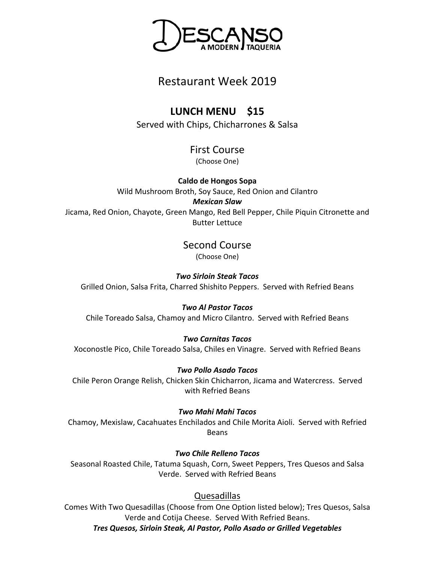

## Restaurant Week 2019

# **LUNCH MENU \$15**

Served with Chips, Chicharrones & Salsa

# First Course

(Choose One)

**Caldo de Hongos Sopa** Wild Mushroom Broth, Soy Sauce, Red Onion and Cilantro *Mexican Slaw* Jicama, Red Onion, Chayote, Green Mango, Red Bell Pepper, Chile Piquin Citronette and Butter Lettuce

Second Course

(Choose One)

*Two Sirloin Steak Tacos*

Grilled Onion, Salsa Frita, Charred Shishito Peppers. Served with Refried Beans

## *Two Al Pastor Tacos*

Chile Toreado Salsa, Chamoy and Micro Cilantro. Served with Refried Beans

#### *Two Carnitas Tacos*

Xoconostle Pico, Chile Toreado Salsa, Chiles en Vinagre. Served with Refried Beans

## *Two Pollo Asado Tacos*

Chile Peron Orange Relish, Chicken Skin Chicharron, Jicama and Watercress. Served with Refried Beans

#### *Two Mahi Mahi Tacos*

Chamoy, Mexislaw, Cacahuates Enchilados and Chile Morita Aioli. Served with Refried Beans

## *Two Chile Relleno Tacos*

Seasonal Roasted Chile, Tatuma Squash, Corn, Sweet Peppers, Tres Quesos and Salsa Verde. Served with Refried Beans

## Quesadillas

Comes With Two Quesadillas (Choose from One Option listed below); Tres Quesos, Salsa Verde and Cotija Cheese. Served With Refried Beans.

*Tres Quesos, Sirloin Steak, Al Pastor, Pollo Asado or Grilled Vegetables*